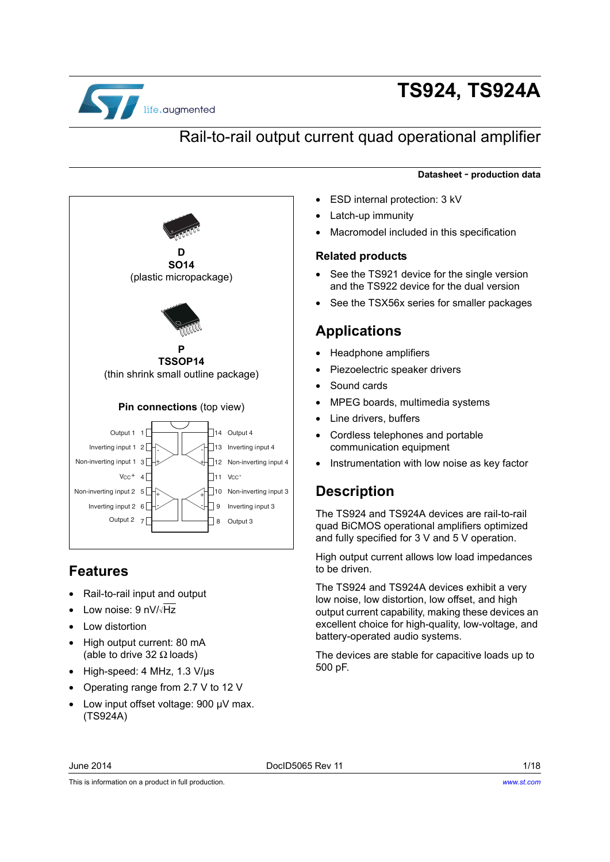

# **TS924, TS924A**

## Rail-to-rail output current quad operational amplifier

#### **Datasheet** - **production data**

Inverting input 2 6 Non-inverting input 2 5 Non-inverting input 1 3 11 Vcc<sup>-</sup> Output 1 1 2 Inverting input 1  $V_{CC}$ <sup>+</sup> 4  $\overline{a}$  $\overline{\phantom{a}}$ 10 Non-inverting input 3 12 Non-inverting input 4 13 Inverting input 4 14 Output 4 Output 3 Inverting input 3 - + - + - + - + **D SO14** (plastic micropackage) **P TSSOP14** (thin shrink small outline package) **Pin connections** (top view)

### <span id="page-0-1"></span>**Features**

- Rail-to-rail input and output
- Low noise: 9 nV/√Hz

Output 2 7

- Low distortion
- High output current: 80 mA (able to drive 32  $\Omega$  loads)
- High-speed: 4 MHz, 1.3 V/µs
- Operating range from 2.7 V to 12 V
- Low input offset voltage: 900 µV max. (TS924A)
- ESD internal protection: 3 kV
- Latch-up immunity
- Macromodel included in this specification

#### <span id="page-0-0"></span>**Related products**

- See the TS921 device for the single version and the TS922 device for the dual version
- See the TSX56x series for smaller packages

### **Applications**

- Headphone amplifiers
- Piezoelectric speaker drivers
- Sound cards
- MPEG boards, multimedia systems
- Line drivers, buffers
- Cordless telephones and portable communication equipment
- Instrumentation with low noise as key factor

### **Description**

The TS924 and TS924A devices are rail-to-rail quad BiCMOS operational amplifiers optimized and fully specified for 3 V and 5 V operation.

High output current allows low load impedances to be driven.

The TS924 and TS924A devices exhibit a very low noise, low distortion, low offset, and high output current capability, making these devices an excellent choice for high-quality, low-voltage, and battery-operated audio systems.

The devices are stable for capacitive loads up to 500 pF.

June 2014 DocID5065 Rev 11 1/18

This is information on a product in full production.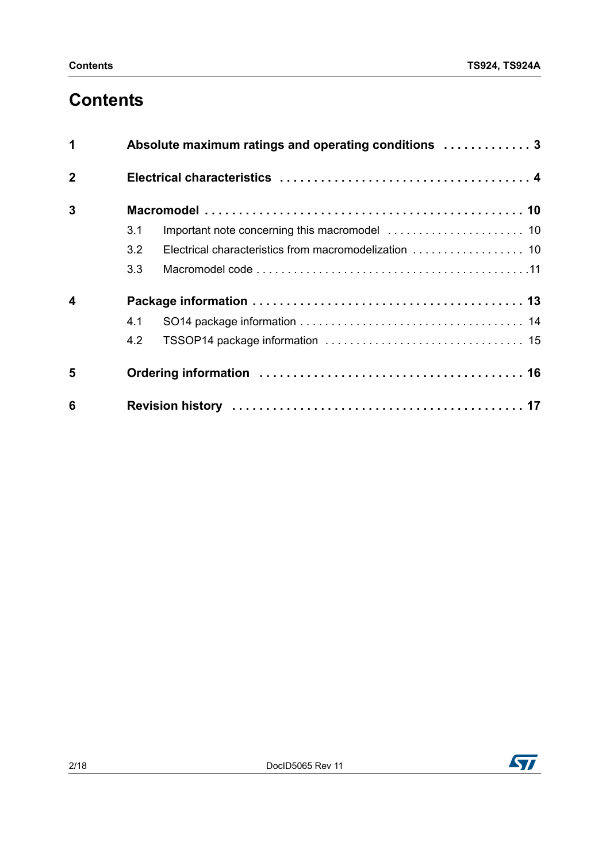## **Contents**

| 1                | Absolute maximum ratings and operating conditions  3 |  |  |  |  |
|------------------|------------------------------------------------------|--|--|--|--|
| $\overline{2}$   |                                                      |  |  |  |  |
| 3                |                                                      |  |  |  |  |
|                  | 3.1                                                  |  |  |  |  |
|                  | 3.2                                                  |  |  |  |  |
|                  | 3.3                                                  |  |  |  |  |
| $\boldsymbol{4}$ |                                                      |  |  |  |  |
|                  | 4.1                                                  |  |  |  |  |
|                  | 4.2                                                  |  |  |  |  |
| 5                |                                                      |  |  |  |  |
| 6                |                                                      |  |  |  |  |

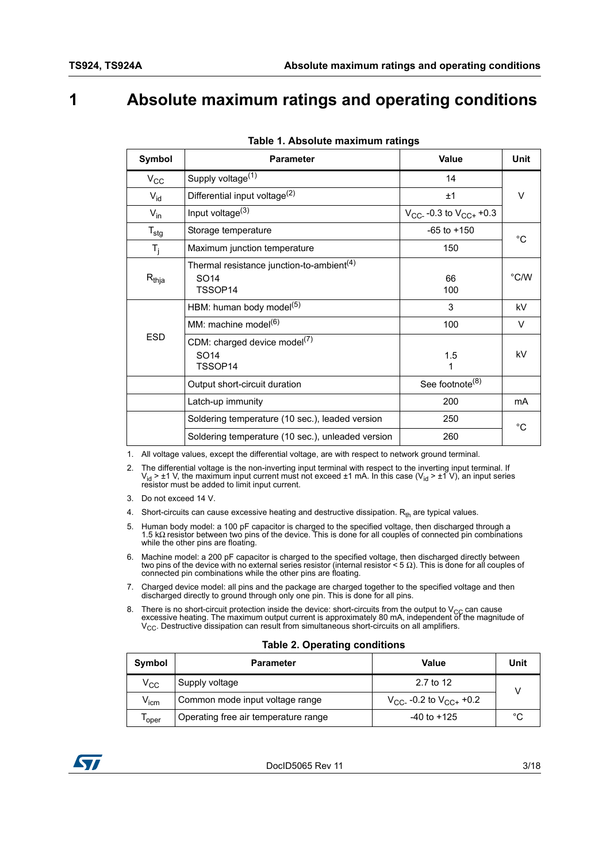### <span id="page-2-0"></span>**1 Absolute maximum ratings and operating conditions**

<span id="page-2-2"></span><span id="page-2-1"></span>

| Symbol           | <b>Parameter</b>                                                         | <b>Value</b>                    | <b>Unit</b>  |
|------------------|--------------------------------------------------------------------------|---------------------------------|--------------|
| $V_{\rm CC}$     | Supply voltage <sup>(1)</sup>                                            | 14                              |              |
| $V_{\text{id}}$  | Differential input voltage <sup>(2)</sup>                                | ±1                              | $\vee$       |
| $V_{in}$         | Input voltage <sup>(3)</sup>                                             | $V_{CC}$ -0.3 to $V_{CC+}$ +0.3 |              |
| $T_{\text{stg}}$ | Storage temperature                                                      | $-65$ to $+150$                 | °∩           |
| $T_i$            | Maximum junction temperature                                             | 150                             |              |
| $R_{thja}$       | Thermal resistance junction-to-ambient <sup>(4)</sup><br>SO14<br>TSSOP14 | 66<br>100                       | °C/W         |
|                  | HBM: human body model <sup>(5)</sup>                                     | 3                               | kV           |
|                  | MM: machine model <sup>(6)</sup>                                         | 100                             | V            |
| <b>ESD</b>       | CDM: charged device model <sup>(7)</sup><br>SO14<br>TSSOP14              | 1.5<br>1                        | kV           |
|                  | Output short-circuit duration                                            | See footnote <sup>(8)</sup>     |              |
|                  | Latch-up immunity                                                        | 200                             | mA           |
|                  | Soldering temperature (10 sec.), leaded version                          | 250                             | $^{\circ}$ C |
|                  | Soldering temperature (10 sec.), unleaded version                        | 260                             |              |

1. All voltage values, except the differential voltage, are with respect to network ground terminal.

2. The differential voltage is the non-inverting input terminal with respect to the inverting input terminal. If  $V_{\text{id}} > \pm 1$  V, the maximum input current must not exceed  $\pm 1$  mA. In this case (V<sub>id</sub> >  $\pm 1$  V), an i resistor must be added to limit input current.

- 3. Do not exceed 14 V.
- 4. Short-circuits can cause excessive heating and destructive dissipation.  $R_{th}$  are typical values.
- 5. Human body model: a 100 pF capacitor is charged to the specified voltage, then discharged through a 1.5 kΩ resistor between two pins of the device. This is done for all couples of connected pin combinations while the other pins are floating.
- 6. Machine model: a 200 pF capacitor is charged to the specified voltage, then discharged directly between two pins of the device with no external series resistor (internal resistor < 5 Ω). This is done for all couples of connected pin combinations while the other pins are floating.
- 7. Charged device model: all pins and the package are charged together to the specified voltage and then discharged directly to ground through only one pin. This is done for all pins.
- 8. There is no short-circuit protection inside the device: short-circuits from the output to V<sub>CC</sub> can cause excessive heating. The maximum output current is approximately 80 mA, independent of the magnitude of V<sub>CC</sub>. Destructive dissipation can result from simultaneous short-circuits on all amplifiers.

#### **Table 2. Operating conditions**

| Symbol       | <b>Parameter</b>                     | Value                           | Unit |
|--------------|--------------------------------------|---------------------------------|------|
| $\rm v_{cc}$ | Supply voltage                       | 2.7 to 12                       |      |
| $V_{icm}$    | Common mode input voltage range      | $V_{CC}$ -0.2 to $V_{CC+}$ +0.2 |      |
| l oper       | Operating free air temperature range | $-40$ to $+125$                 | °C   |

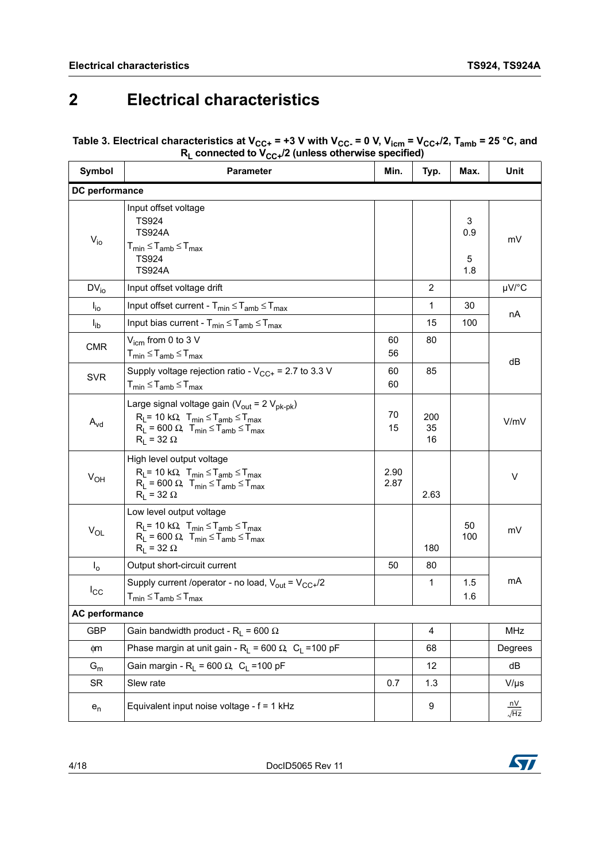## <span id="page-3-0"></span>**2 Electrical characteristics**

#### <span id="page-3-1"></span>Table 3. Electrical characteristics at V<sub>CC+</sub> = +3 V with V<sub>CC-</sub> = 0 V, V<sub>icm</sub> = V<sub>CC+</sub>/2, T<sub>amb</sub> = 25 °C, and **RL connected to VCC+/2 (unless otherwise specified)**

| Symbol                     | <b>Parameter</b>                                                                                                                                                                                           | Typ.         | Max.            | Unit                 |                                          |
|----------------------------|------------------------------------------------------------------------------------------------------------------------------------------------------------------------------------------------------------|--------------|-----------------|----------------------|------------------------------------------|
| DC performance             |                                                                                                                                                                                                            |              |                 |                      |                                          |
| $V_{i0}$                   | Input offset voltage<br><b>TS924</b><br><b>TS924A</b><br>$T_{min} \leq T_{amb} \leq T_{max}$<br><b>TS924</b><br><b>TS924A</b>                                                                              |              |                 | 3<br>0.9<br>5<br>1.8 | mV                                       |
| $DV_{i0}$                  | Input offset voltage drift                                                                                                                                                                                 |              | $\overline{2}$  |                      | µV/°C                                    |
| $I_{\text{io}}$            | Input offset current - $T_{min} \leq T_{amb} \leq T_{max}$                                                                                                                                                 |              | $\mathbf{1}$    | 30                   | nA                                       |
| $I_{ib}$                   | Input bias current - $T_{min} \leq T_{amb} \leq T_{max}$                                                                                                                                                   |              | 15              | 100                  |                                          |
| <b>CMR</b>                 | $V_{icm}$ from 0 to 3 V<br>$T_{min} \leq T_{amb} \leq T_{max}$                                                                                                                                             | 60<br>56     | 80              |                      | dB                                       |
| <b>SVR</b>                 | Supply voltage rejection ratio - $V_{CC+}$ = 2.7 to 3.3 V<br>$T_{min} \leq T_{amb} \leq T_{max}$                                                                                                           | 60<br>60     | 85              |                      |                                          |
| $\mathsf{A}_{\mathsf{vd}}$ | Large signal voltage gain ( $V_{\text{out}} = 2 V_{\text{pk-pk}}$ )<br>$R_L$ = 10 kΩ, $T_{min} \le T_{amb} \le T_{max}$<br>$R_1 = 600 \Omega$ , $T_{min} \leq T_{amb} \leq T_{max}$<br>$R_L$ = 32 $\Omega$ | 70<br>15     | 200<br>35<br>16 |                      | V/mV                                     |
| $V_{OH}$                   | High level output voltage<br>$R_L$ = 10 k $\Omega$ , $T_{min} \leq T_{amb} \leq T_{max}$<br>$R_1 = 600 \Omega$ , $T_{min} \le T_{amb} \le T_{max}$<br>$R_1 = 32 \Omega$                                    | 2.90<br>2.87 | 2.63            |                      | V                                        |
| $V_{OL}$                   | Low level output voltage<br>$R_L$ = 10 k $\Omega$ , $T_{min} \leq T_{amb} \leq T_{max}$<br>$R_L$ = 600 $\Omega$ , $T_{min} \leq T_{amb} \leq T_{max}$<br>$R_1 = 32 \Omega$                                 |              | 180             | 50<br>100            | mV                                       |
| $I_{o}$                    | Output short-circuit current                                                                                                                                                                               | 50           | 80              |                      |                                          |
| $I_{\rm CC}$               | Supply current /operator - no load, $V_{out} = V_{CC+}/2$<br>$T_{min} \leq T_{amb} \leq T_{max}$                                                                                                           |              | 1               | 1.5<br>1.6           | mA                                       |
| <b>AC performance</b>      |                                                                                                                                                                                                            |              |                 |                      |                                          |
| <b>GBP</b>                 | Gain bandwidth product - R <sub>1</sub> = 600 $\Omega$                                                                                                                                                     |              | 4               |                      | MHz                                      |
| фm                         | Phase margin at unit gain - R <sub>1</sub> = 600 $\Omega$ , C <sub>1</sub> = 100 pF                                                                                                                        |              | 68              |                      | Degrees                                  |
| $G_m$                      | Gain margin - R <sub>L</sub> = 600 $\Omega$ , C <sub>L</sub> = 100 pF                                                                                                                                      |              | 12              |                      | dB                                       |
| <b>SR</b>                  | Slew rate                                                                                                                                                                                                  | 0.7          | 1.3             |                      | $V/\mu s$                                |
| $e_n$                      | Equivalent input noise voltage - f = 1 kHz                                                                                                                                                                 |              | 9               |                      | $\frac{\mathsf{nV}}{\sqrt{\mathsf{Hz}}}$ |

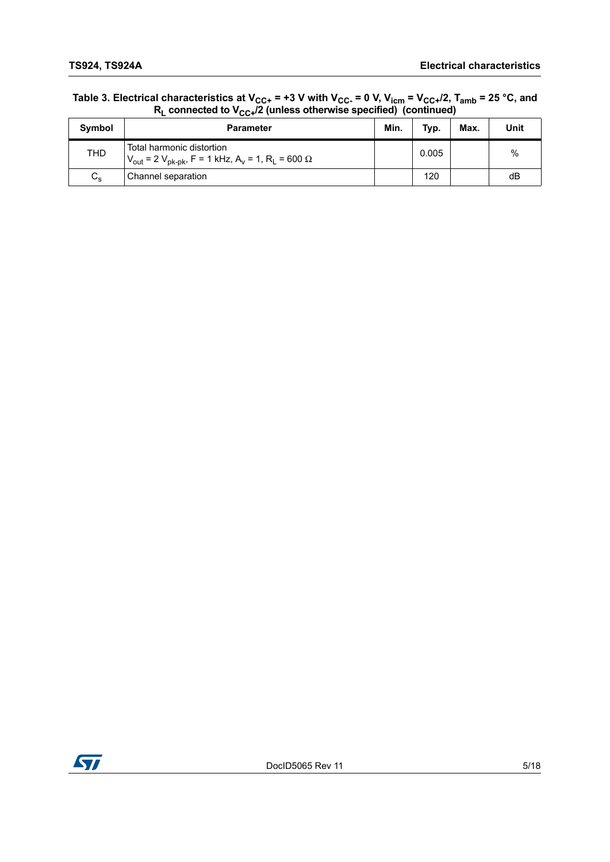| Table 3. Electrical characteristics at V <sub>CC+</sub> = +3 V with V <sub>CC-</sub> = 0 V, V <sub>icm</sub> = V <sub>CC+</sub> /2, T <sub>amb</sub> = 25 °C, and |
|-------------------------------------------------------------------------------------------------------------------------------------------------------------------|
| $R_1$ connected to $V_{CC+}/2$ (unless otherwise specified) (continued)                                                                                           |

| Symbol      | <b>Parameter</b>                                                                                                                    | Min. | Typ.  | Max. | Unit          |
|-------------|-------------------------------------------------------------------------------------------------------------------------------------|------|-------|------|---------------|
| <b>THD</b>  | Total harmonic distortion<br>$V_{\text{out}}$ = 2 $V_{\text{pk-pk}}$ , F = 1 kHz, A <sub>v</sub> = 1, R <sub>L</sub> = 600 $\Omega$ |      | 0.005 |      | $\frac{0}{0}$ |
| $C_{\rm s}$ | Channel separation                                                                                                                  |      | 120   |      | dB            |

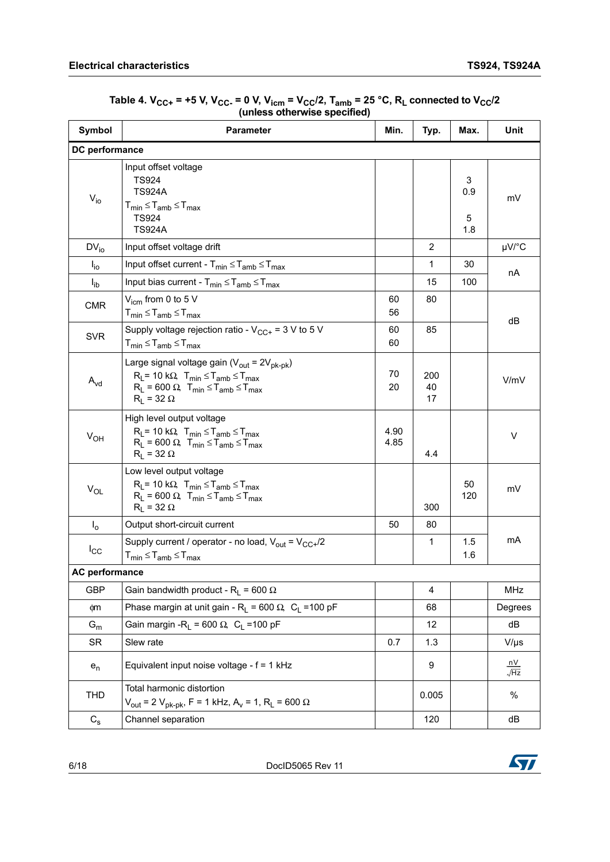<span id="page-5-0"></span>

| Symbol                    | <b>Parameter</b>                                                                                                                                                                                                 | Min.           | Typ.            | Max.                 | Unit                                               |
|---------------------------|------------------------------------------------------------------------------------------------------------------------------------------------------------------------------------------------------------------|----------------|-----------------|----------------------|----------------------------------------------------|
| DC performance            |                                                                                                                                                                                                                  |                |                 |                      |                                                    |
| $\rm V_{io}$              | Input offset voltage<br><b>TS924</b><br><b>TS924A</b><br>$T_{min} \leq T_{amb} \leq T_{max}$<br><b>TS924</b><br><b>TS924A</b>                                                                                    |                |                 | 3<br>0.9<br>5<br>1.8 | mV                                                 |
| $DV_{io}$                 | Input offset voltage drift                                                                                                                                                                                       |                | 2               |                      | $\mu$ V/°C                                         |
| $I_{io}$                  | Input offset current - $T_{min} \leq T_{amb} \leq T_{max}$                                                                                                                                                       |                | $\mathbf{1}$    | 30                   |                                                    |
| $I_{ib}$                  | Input bias current - $T_{min} \leq T_{amb} \leq T_{max}$                                                                                                                                                         |                | 15              | 100                  | nA                                                 |
| <b>CMR</b>                | $V_{\text{icm}}$ from 0 to 5 V<br>$T_{min} \leq T_{amb} \leq T_{max}$<br>Supply voltage rejection ratio - $V_{CC+}$ = 3 V to 5 V                                                                                 | 60<br>56<br>60 | 80<br>85        |                      | dB                                                 |
| <b>SVR</b>                | $T_{min} \leq T_{amb} \leq T_{max}$                                                                                                                                                                              | 60             |                 |                      |                                                    |
| $A_{vd}$                  | Large signal voltage gain ( $V_{\text{out}} = 2V_{\text{pk-bk}}$ )<br>$R_L$ = 10 k $\Omega$ , $T_{min} \leq T_{amb} \leq T_{max}$<br>$R_1 = 600 \Omega$ , $T_{min} \le T_{amb} \le T_{max}$<br>$R_1 = 32 \Omega$ | 70<br>20       | 200<br>40<br>17 |                      | V/mV                                               |
| $V_{OH}$                  | High level output voltage<br>$R_L$ = 10 k $\Omega$ , $T_{min} \leq T_{amb} \leq T_{max}$<br>$R_L$ = 600 $\Omega$ , $T_{min} \leq T_{amb} \leq T_{max}$<br>$R_L$ = 32 $\Omega$                                    | 4.90<br>4.85   | 4.4             |                      | V                                                  |
| $V_{OL}$                  | Low level output voltage<br>$R_L$ = 10 k $\Omega$ , $T_{min} \leq T_{amb} \leq T_{max}$<br>$R_L$ = 600 $\Omega$ , $T_{min} \leq T_{amb} \leq T_{max}$<br>$R_L$ = 32 $\Omega$                                     |                | 300             | 50<br>120            | mV                                                 |
| I <sub>o</sub>            | Output short-circuit current                                                                                                                                                                                     | 50             | 80              |                      |                                                    |
| $I_{\rm CC}$              | Supply current / operator - no load, $V_{out} = V_{CC+}/2$<br>$T_{min} \leq T_{amb} \leq T_{max}$                                                                                                                |                | $\mathbf{1}$    | 1.5<br>1.6           | mA                                                 |
| AC performance            |                                                                                                                                                                                                                  |                |                 |                      |                                                    |
| <b>GBP</b>                | Gain bandwidth product - R <sub>L</sub> = 600 $\Omega$                                                                                                                                                           |                | 4               |                      | MHz                                                |
| фm                        | Phase margin at unit gain - $R_L$ = 600 $\Omega$ , C <sub>L</sub> = 100 pF                                                                                                                                       |                | 68              |                      | Degrees                                            |
| $\mathsf{G}_{\mathsf{m}}$ | Gain margin - R <sub>1</sub> = 600 $\Omega$ , C <sub>1</sub> = 100 pF                                                                                                                                            |                | 12              |                      | dB                                                 |
| <b>SR</b>                 | Slew rate                                                                                                                                                                                                        | 0.7            | 1.3             |                      | $V/\mu s$                                          |
| $e_n$                     | Equivalent input noise voltage - f = 1 kHz                                                                                                                                                                       |                | 9               |                      | $\frac{\mathsf{n} \mathsf{V}}{\sqrt{\mathsf{Hz}}}$ |
| THD                       | Total harmonic distortion<br>$V_{\text{out}}$ = 2 $V_{\text{pk-pk}}$ , F = 1 kHz, A <sub>v</sub> = 1, R <sub>L</sub> = 600 $\Omega$                                                                              |                | 0.005           |                      | $\%$                                               |
| $C_{\rm s}$               | Channel separation                                                                                                                                                                                               |                | 120             |                      | dB                                                 |

Table 4.  $V_{CC+}$  = +5 V, V<sub>CC-</sub> = 0 V, V<sub>icm</sub> = V<sub>CC</sub>/2, T<sub>amb</sub> = 25 °C, R<sub>L</sub> connected to V<sub>CC</sub>/2 **(unless otherwise specified)** 

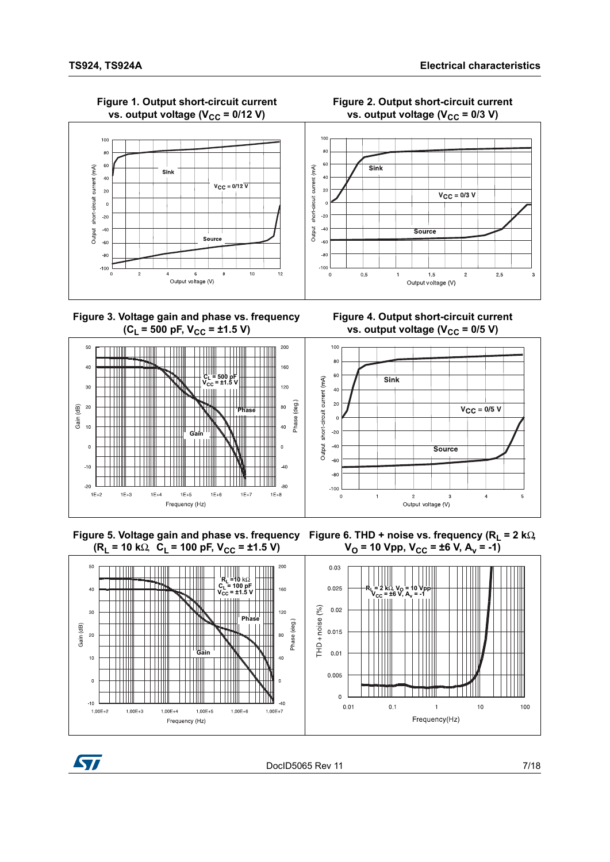<span id="page-6-0"></span>

#### **Figure 1. Output short-circuit current**  vs. output voltage (V<sub>CC</sub> = 0/12 V)







**Figure 4. Output short-circuit current**  vs. output voltage  $(V_{CC} = 0/5 V)$ 





 $V_{\rm O}$  = 10 Vpp,  $V_{\rm CC}$  = ±6 V, A<sub>v</sub> = -1)





DocID5065 Rev 11 7/18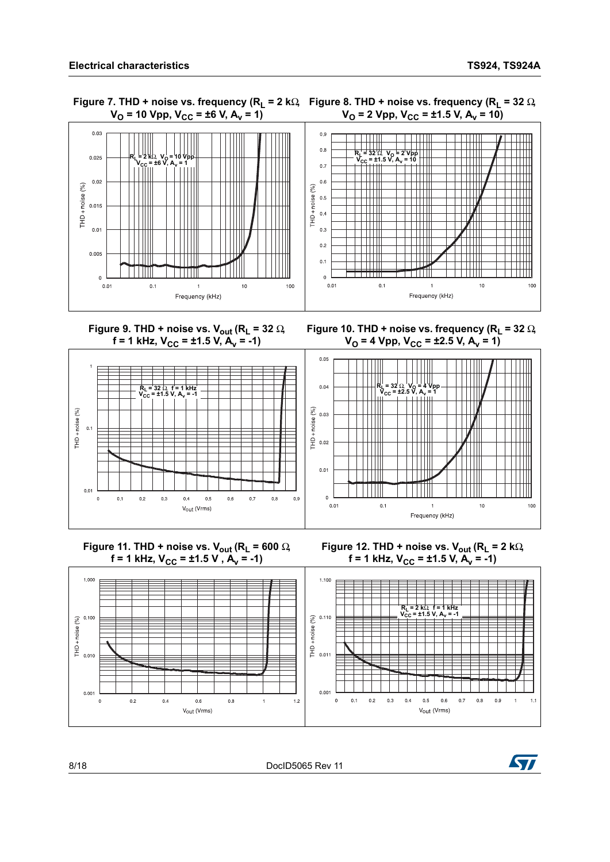

**Figure 9. THD + noise vs. V<sub>out</sub> (R<sub>L</sub> = 32** Ω,  $f = 1$  kHz,  $V_{CC} = \pm 1.5$  V,  $A_v = -1$ )









<span id="page-7-0"></span>







8/18 DocID5065 Rev 11

 $1.000$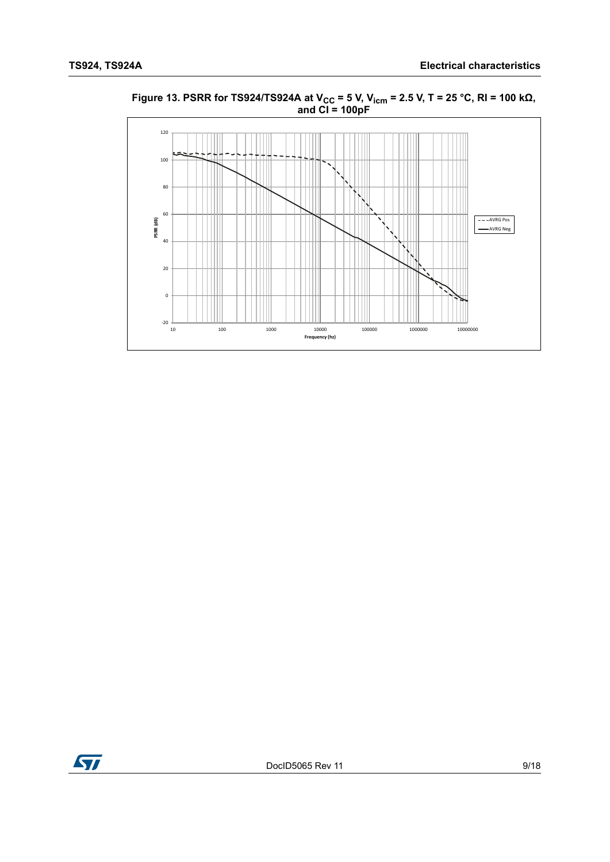

<span id="page-8-0"></span>**Figure 13. PSRR for TS924/TS924A at V<sub>CC</sub> = 5 V, V<sub>icm</sub> = 2.5 V, T = 25 °C, RI = 100 kΩ, and CI = 100pF**

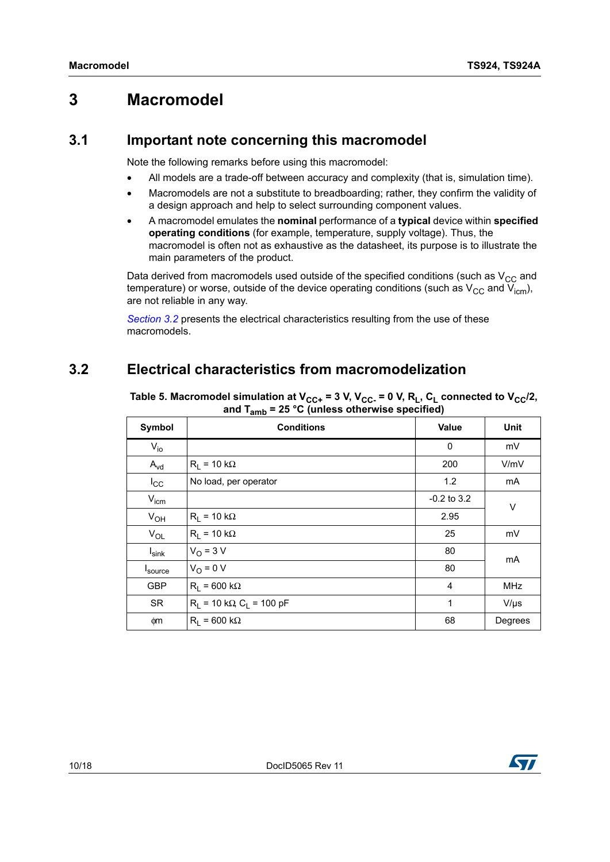### <span id="page-9-0"></span>**3 Macromodel**

#### <span id="page-9-1"></span>**3.1 Important note concerning this macromodel**

Note the following remarks before using this macromodel:

- All models are a trade-off between accuracy and complexity (that is, simulation time).
- Macromodels are not a substitute to breadboarding; rather, they confirm the validity of a design approach and help to select surrounding component values.
- A macromodel emulates the **nominal** performance of a **typical** device within **specified operating conditions** (for example, temperature, supply voltage). Thus, the macromodel is often not as exhaustive as the datasheet, its purpose is to illustrate the main parameters of the product.

Data derived from macromodels used outside of the specified conditions (such as  $V_{CC}$  and temperature) or worse, outside of the device operating conditions (such as  $V_{CC}$  and  $V_{icm}$ ), are not reliable in any way.

*[Section](#page-9-2) 3.2* presents the electrical characteristics resulting from the use of these macromodels.

### <span id="page-9-2"></span>**3.2 Electrical characteristics from macromodelization**

| <b>Symbol</b>    | <b>Conditions</b>               | <b>Value</b>    | Unit       |
|------------------|---------------------------------|-----------------|------------|
| $V_{i0}$         |                                 | 0               | mV         |
| $A_{\text{vd}}$  | $R_1 = 10 k\Omega$              | 200             | V/mV       |
| $I_{\rm CC}$     | No load, per operator           | 1.2             | mA         |
| $V_{\text{icm}}$ |                                 | $-0.2$ to $3.2$ | V          |
| $V_{OH}$         | $R_1 = 10 k\Omega$              | 2.95            |            |
| $V_{OL}$         | $R_1 = 10 k\Omega$              | 25              | mV         |
| <b>I</b> sink    | $V_O$ = 3 V                     | 80              | mA         |
| Isource          | $V_O = 0 V$                     | 80              |            |
| <b>GBP</b>       | $R_1 = 600 k\Omega$             | 4               | <b>MHz</b> |
| <b>SR</b>        | $R_1 = 10 k\Omega C_1 = 100 pF$ | 1               | $V/\mu s$  |
| фm               | $R_1$ = 600 k $\Omega$          | 68              | Degrees    |

<span id="page-9-3"></span>Table 5. Macromodel simulation at  $V_{CC+}$  = 3 V,  $V_{CC-}$  = 0 V, R<sub>L</sub>, C<sub>L</sub> connected to  $V_{CC}/2$ , **and Tamb = 25 °C (unless otherwise specified)** 

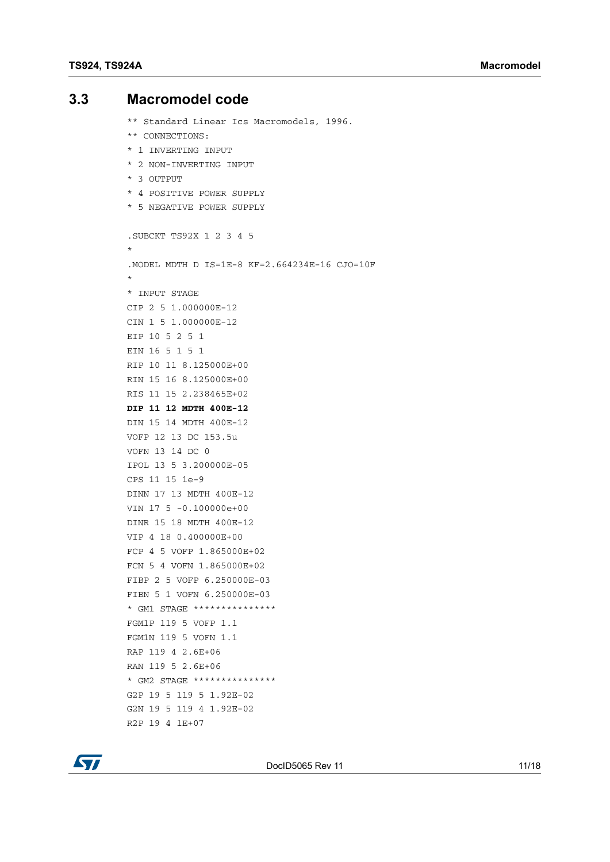### <span id="page-10-0"></span>**3.3 Macromodel code**

\*\* Standard Linear Ics Macromodels, 1996. \*\* CONNECTIONS: \* 1 INVERTING INPUT \* 2 NON-INVERTING INPUT \* 3 OUTPUT \* 4 POSITIVE POWER SUPPLY \* 5 NEGATIVE POWER SUPPLY .SUBCKT TS92X 1 2 3 4 5 \* .MODEL MDTH D IS=1E-8 KF=2.664234E-16 CJO=10F \* \* INPUT STAGE CIP 2 5 1.000000E-12 CIN 1 5 1.000000E-12 EIP 10 5 2 5 1 EIN 16 5 1 5 1 RIP 10 11 8.125000E+00 RIN 15 16 8.125000E+00 RIS 11 15 2.238465E+02 **DIP 11 12 MDTH 400E-12** DIN 15 14 MDTH 400E-12 VOFP 12 13 DC 153.5u VOFN 13 14 DC 0 IPOL 13 5 3.200000E-05 CPS 11 15 1e-9 DINN 17 13 MDTH 400E-12 VIN 17 5 -0.100000e+00 DINR 15 18 MDTH 400E-12 VIP 4 18 0.400000E+00 FCP 4 5 VOFP 1.865000E+02 FCN 5 4 VOFN 1.865000E+02 FIBP 2 5 VOFP 6.250000E-03 FIBN 5 1 VOFN 6.250000E-03 \* GM1 STAGE \*\*\*\*\*\*\*\*\*\*\*\*\*\*\* FGM1P 119 5 VOFP 1.1 FGM1N 119 5 VOFN 1.1 RAP 119 4 2.6E+06 RAN 119 5 2.6E+06 \* GM2 STAGE \*\*\*\*\*\*\*\*\*\*\*\*\*\*\* G2P 19 5 119 5 1.92E-02 G2N 19 5 119 4 1.92E-02 R2P 19 4 1E+07

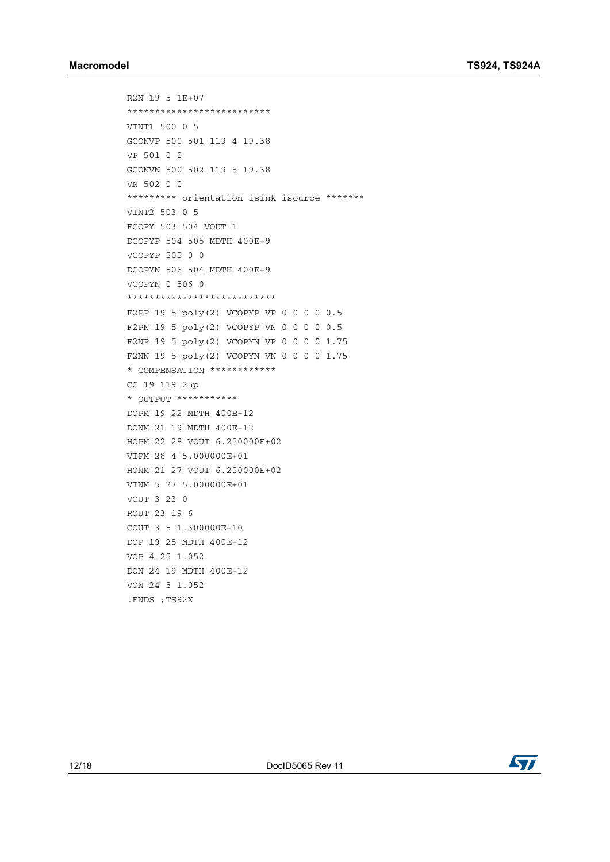R2N 19 5 1E+07 \*\*\*\*\*\*\*\*\*\*\*\*\*\*\*\*\*\*\*\*\*\*\*\*\*\* VINT1 500 0 5 GCONVP 500 501 119 4 19.38 VP 501 0 0 GCONVN 500 502 119 5 19.38 VN 502 0 0 \*\*\*\*\*\*\*\*\* orientation isink isource \*\*\*\*\*\*\* VINT2 503 0 5 FCOPY 503 504 VOUT 1 DCOPYP 504 505 MDTH 400E-9 VCOPYP 505 0 0 DCOPYN 506 504 MDTH 400E-9 VCOPYN 0 506 0 \*\*\*\*\*\*\*\*\*\*\*\*\*\*\*\*\*\*\*\*\*\*\*\*\*\*\* F2PP 19 5 poly(2) VCOPYP VP 0 0 0 0 0.5 F2PN 19 5 poly(2) VCOPYP VN 0 0 0 0 0.5 F2NP 19 5 poly(2) VCOPYN VP 0 0 0 0 1.75 F2NN 19 5 poly(2) VCOPYN VN 0 0 0 0 1.75 \* COMPENSATION \*\*\*\*\*\*\*\*\*\*\*\* CC 19 119 25p \* OUTPUT \*\*\*\*\*\*\*\*\*\*\* DOPM 19 22 MDTH 400E-12 DONM 21 19 MDTH 400E-12 HOPM 22 28 VOUT 6.250000E+02 VIPM 28 4 5.000000E+01 HONM 21 27 VOUT 6.250000E+02 VINM 5 27 5.000000E+01 VOUT 3 23 0 ROUT 23 19 6 COUT 3 5 1.300000E-10 DOP 19 25 MDTH 400E-12 VOP 4 25 1.052 DON 24 19 MDTH 400E-12 VON 24 5 1.052 .ENDS ;TS92X

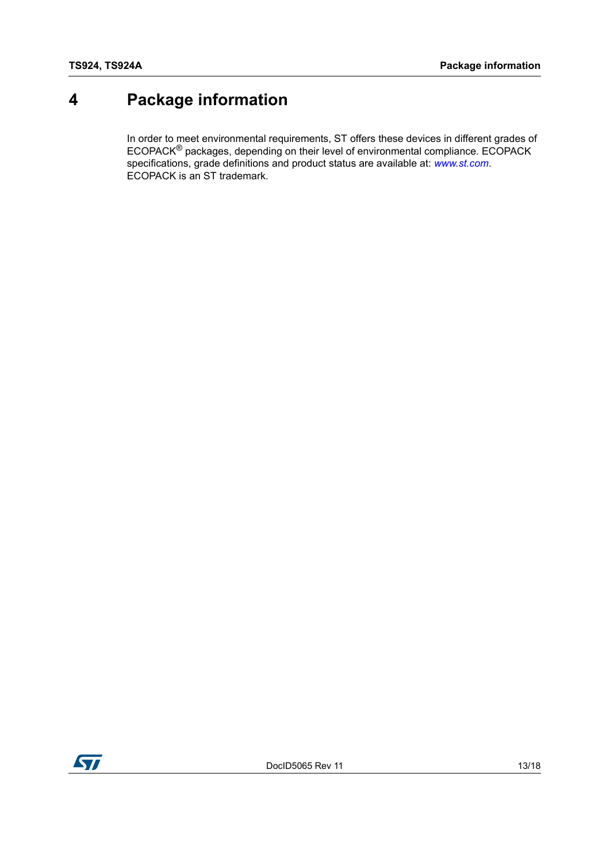## <span id="page-12-0"></span>**4 Package information**

In order to meet environmental requirements, ST offers these devices in different grades of ECOPACK® packages, depending on their level of environmental compliance. ECOPACK specifications, grade definitions and product status are available at: *[www.st.com](http://www.st.com)*. ECOPACK is an ST trademark.

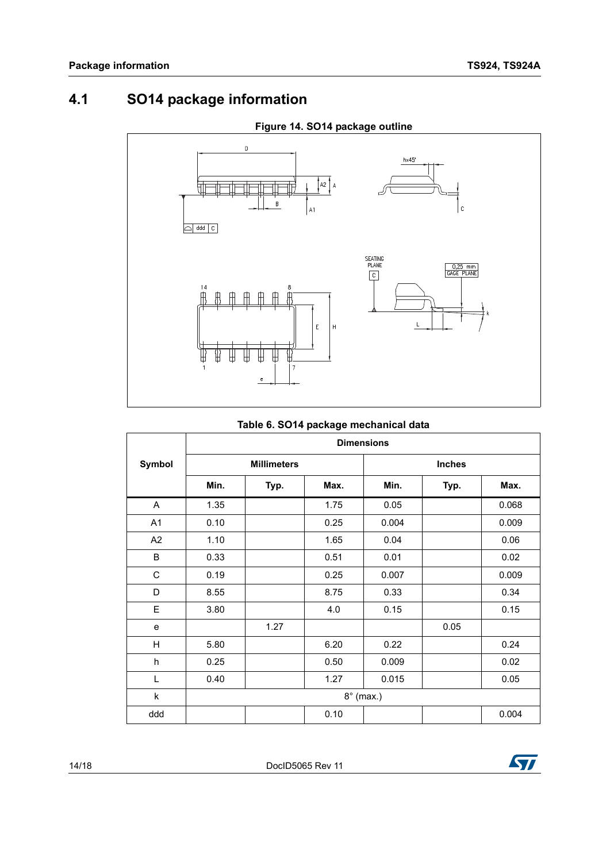## <span id="page-13-0"></span>**4.1 SO14 package information**



| Table 6. SO14 package mechanical data |  |  |  |  |
|---------------------------------------|--|--|--|--|
|---------------------------------------|--|--|--|--|

|                | <b>Dimensions</b> |                    |      |                  |               |       |
|----------------|-------------------|--------------------|------|------------------|---------------|-------|
| Symbol         |                   | <b>Millimeters</b> |      |                  | <b>Inches</b> |       |
|                | Min.              | Typ.               | Max. | Min.             | Typ.          | Max.  |
| A              | 1.35              |                    | 1.75 | 0.05             |               | 0.068 |
| A <sub>1</sub> | 0.10              |                    | 0.25 | 0.004            |               | 0.009 |
| A2             | 1.10              |                    | 1.65 | 0.04             |               | 0.06  |
| B              | 0.33              |                    | 0.51 | 0.01             |               | 0.02  |
| $\mathsf C$    | 0.19              |                    | 0.25 | 0.007            |               | 0.009 |
| D              | 8.55              |                    | 8.75 | 0.33             |               | 0.34  |
| E              | 3.80              |                    | 4.0  | 0.15             |               | 0.15  |
| e              |                   | 1.27               |      |                  | 0.05          |       |
| H              | 5.80              |                    | 6.20 | 0.22             |               | 0.24  |
| h              | 0.25              |                    | 0.50 | 0.009            |               | 0.02  |
| L              | 0.40              |                    | 1.27 | 0.015            |               | 0.05  |
| k              |                   |                    |      | $8^\circ$ (max.) |               |       |
| ddd            |                   |                    | 0.10 |                  |               | 0.004 |

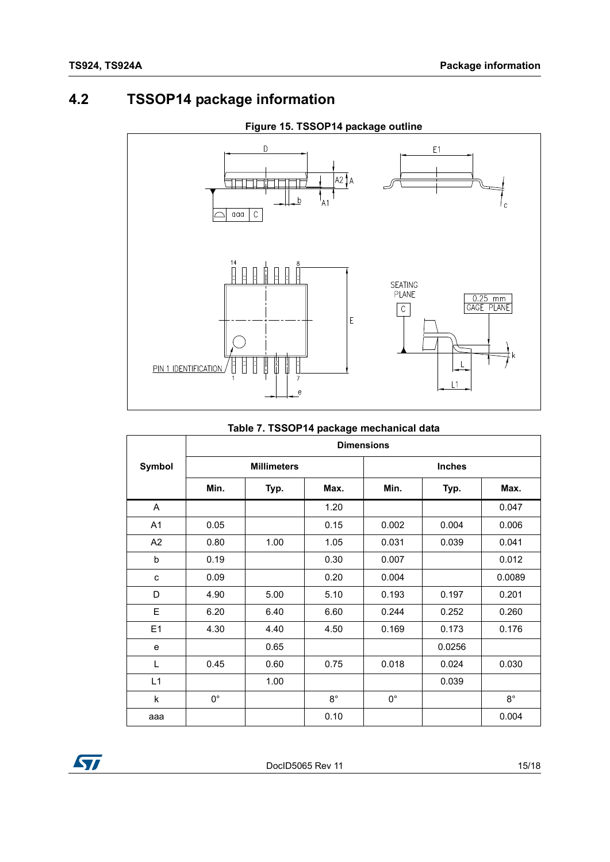### <span id="page-14-0"></span>**4.2 TSSOP14 package information**



#### **Figure 15. TSSOP14 package outline**

|                | <b>Dimensions</b>  |      |             |               |        |             |  |
|----------------|--------------------|------|-------------|---------------|--------|-------------|--|
| Symbol         | <b>Millimeters</b> |      |             | <b>Inches</b> |        |             |  |
|                | Min.               | Typ. | Max.        | Min.          | Typ.   | Max.        |  |
| A              |                    |      | 1.20        |               |        | 0.047       |  |
| A <sub>1</sub> | 0.05               |      | 0.15        | 0.002         | 0.004  | 0.006       |  |
| A2             | 0.80               | 1.00 | 1.05        | 0.031         | 0.039  | 0.041       |  |
| b              | 0.19               |      | 0.30        | 0.007         |        | 0.012       |  |
| C              | 0.09               |      | 0.20        | 0.004         |        | 0.0089      |  |
| D              | 4.90               | 5.00 | 5.10        | 0.193         | 0.197  | 0.201       |  |
| E              | 6.20               | 6.40 | 6.60        | 0.244         | 0.252  | 0.260       |  |
| E1             | 4.30               | 4.40 | 4.50        | 0.169         | 0.173  | 0.176       |  |
| e              |                    | 0.65 |             |               | 0.0256 |             |  |
| L              | 0.45               | 0.60 | 0.75        | 0.018         | 0.024  | 0.030       |  |
| L1             |                    | 1.00 |             |               | 0.039  |             |  |
| k              | $0^{\circ}$        |      | $8^{\circ}$ | $0^{\circ}$   |        | $8^{\circ}$ |  |
| aaa            |                    |      | 0.10        |               |        | 0.004       |  |

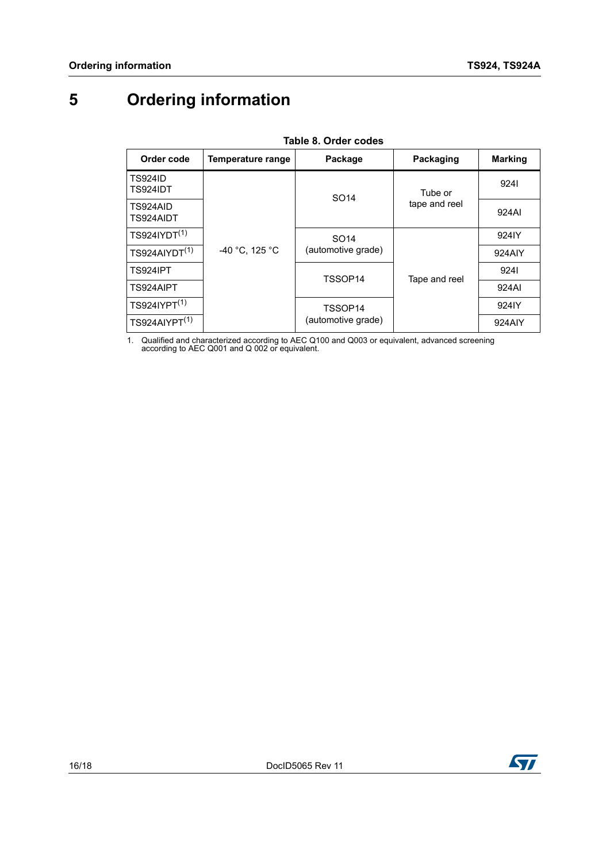## <span id="page-15-0"></span>**5 Ordering information**

<span id="page-15-2"></span>

| iapic v. Oraci coacs              |                   |                                        |                          |                   |  |  |  |  |  |
|-----------------------------------|-------------------|----------------------------------------|--------------------------|-------------------|--|--|--|--|--|
| Order code                        | Temperature range | Package                                | Packaging                | <b>Marking</b>    |  |  |  |  |  |
| <b>TS924ID</b><br><b>TS924IDT</b> | -40 °C, 125 °C    | SO <sub>14</sub>                       | Tube or<br>tape and reel | 9241              |  |  |  |  |  |
| TS924AID<br>TS924AIDT             |                   |                                        |                          | 924AI             |  |  |  |  |  |
| TS924IYDT <sup>(1)</sup>          |                   | SO <sub>14</sub><br>(automotive grade) | Tape and reel            | 924IY             |  |  |  |  |  |
| TS924AIVDT <sup>(1)</sup>         |                   |                                        |                          | 924AIY            |  |  |  |  |  |
| <b>TS924IPT</b>                   |                   | TSSOP14                                |                          | 9241              |  |  |  |  |  |
| TS924AIPT                         |                   |                                        |                          | 924AI             |  |  |  |  |  |
| $TS924IYPT^{(1)}$                 |                   | TSSOP14<br>(automotive grade)          |                          | 924 <sub>IY</sub> |  |  |  |  |  |
| TS924A IYPT <sup>(1)</sup>        |                   |                                        |                          | 924AIY            |  |  |  |  |  |

**Table 8. Order codes**

<span id="page-15-1"></span>1. Qualified and characterized according to AEC Q100 and Q003 or equivalent, advanced screening according to AEC Q001 and Q 002 or equivalent.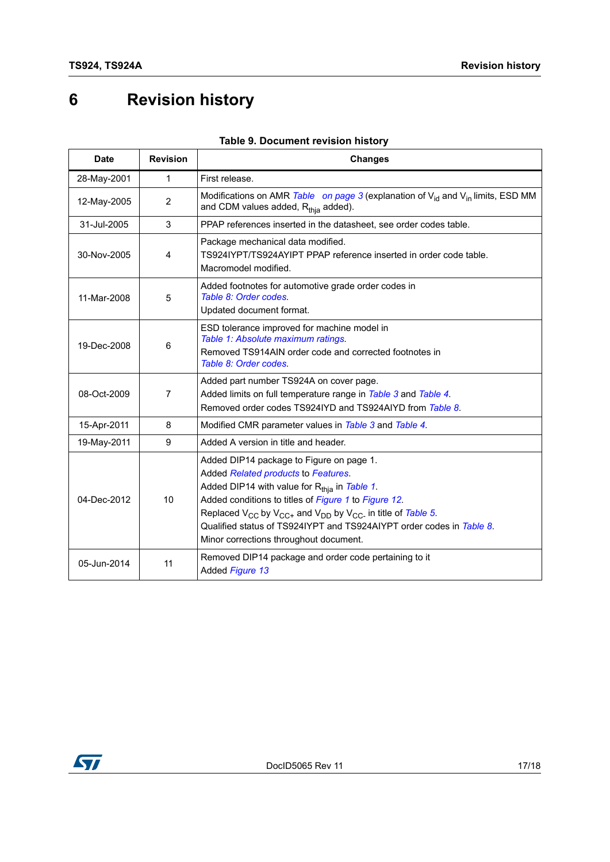## <span id="page-16-0"></span>**6 Revision history**

| Date        | <b>Revision</b> | <b>Changes</b>                                                                                                                                                                                                                                                                                                                                                                                         |  |
|-------------|-----------------|--------------------------------------------------------------------------------------------------------------------------------------------------------------------------------------------------------------------------------------------------------------------------------------------------------------------------------------------------------------------------------------------------------|--|
| 28-May-2001 | $\mathbf{1}$    | First release.                                                                                                                                                                                                                                                                                                                                                                                         |  |
| 12-May-2005 | 2               | Modifications on AMR Table on page 3 (explanation of $V_{id}$ and $V_{in}$ limits, ESD MM<br>and CDM values added, R <sub>thia</sub> added).                                                                                                                                                                                                                                                           |  |
| 31-Jul-2005 | 3               | PPAP references inserted in the datasheet, see order codes table.                                                                                                                                                                                                                                                                                                                                      |  |
| 30-Nov-2005 | 4               | Package mechanical data modified.<br>TS924IYPT/TS924AYIPT PPAP reference inserted in order code table.<br>Macromodel modified.                                                                                                                                                                                                                                                                         |  |
| 11-Mar-2008 | 5               | Added footnotes for automotive grade order codes in<br>Table 8: Order codes.<br>Updated document format.                                                                                                                                                                                                                                                                                               |  |
| 19-Dec-2008 | 6               | ESD tolerance improved for machine model in<br>Table 1: Absolute maximum ratings.<br>Removed TS914AIN order code and corrected footnotes in<br>Table 8: Order codes.                                                                                                                                                                                                                                   |  |
| 08-Oct-2009 | $\overline{7}$  | Added part number TS924A on cover page.<br>Added limits on full temperature range in Table 3 and Table 4.<br>Removed order codes TS924IYD and TS924AIYD from Table 8.                                                                                                                                                                                                                                  |  |
| 15-Apr-2011 | 8               | Modified CMR parameter values in Table 3 and Table 4.                                                                                                                                                                                                                                                                                                                                                  |  |
| 19-May-2011 | 9               | Added A version in title and header.                                                                                                                                                                                                                                                                                                                                                                   |  |
| 04-Dec-2012 | 10              | Added DIP14 package to Figure on page 1.<br>Added Related products to Features.<br>Added DIP14 with value for R <sub>thia</sub> in Table 1.<br>Added conditions to titles of Figure 1 to Figure 12.<br>Replaced $V_{CC}$ by $V_{CC+}$ and $V_{DD}$ by $V_{CC-}$ in title of Table 5.<br>Qualified status of TS924IYPT and TS924AIYPT order codes in Table 8.<br>Minor corrections throughout document. |  |
| 05-Jun-2014 | 11              | Removed DIP14 package and order code pertaining to it<br>Added Figure 13                                                                                                                                                                                                                                                                                                                               |  |

#### **Table 9. Document revision history**